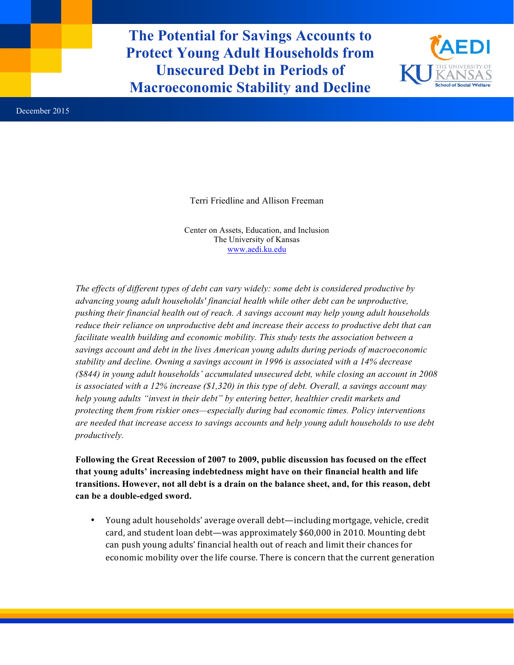**The Potential for Savings Accounts to Protect Young Adult Households from Unsecured Debt in Periods of Macroeconomic Stability and Decline**



Terri Friedline and Allison Freeman

Center on Assets, Education, and Inclusion The University of Kansas www.aedi.ku.edu

*The effects of different types of debt can vary widely: some debt is considered productive by advancing young adult households' financial health while other debt can be unproductive, pushing their financial health out of reach. A savings account may help young adult households reduce their reliance on unproductive debt and increase their access to productive debt that can facilitate wealth building and economic mobility. This study tests the association between a savings account and debt in the lives American young adults during periods of macroeconomic stability and decline. Owning a savings account in 1996 is associated with a 14% decrease (\$844) in young adult households' accumulated unsecured debt, while closing an account in 2008 is associated with a 12% increase (\$1,320) in this type of debt. Overall, a savings account may help young adults "invest in their debt" by entering better, healthier credit markets and protecting them from riskier ones—especially during bad economic times. Policy interventions are needed that increase access to savings accounts and help young adult households to use debt productively.* 

**Following the Great Recession of 2007 to 2009, public discussion has focused on the effect that young adults' increasing indebtedness might have on their financial health and life transitions. However, not all debt is a drain on the balance sheet, and, for this reason, debt can be a double-edged sword.**

• Young adult households' average overall debt—including mortgage, vehicle, credit card, and student loan debt—was approximately \$60,000 in 2010. Mounting debt can push young adults' financial health out of reach and limit their chances for economic mobility over the life course. There is concern that the current generation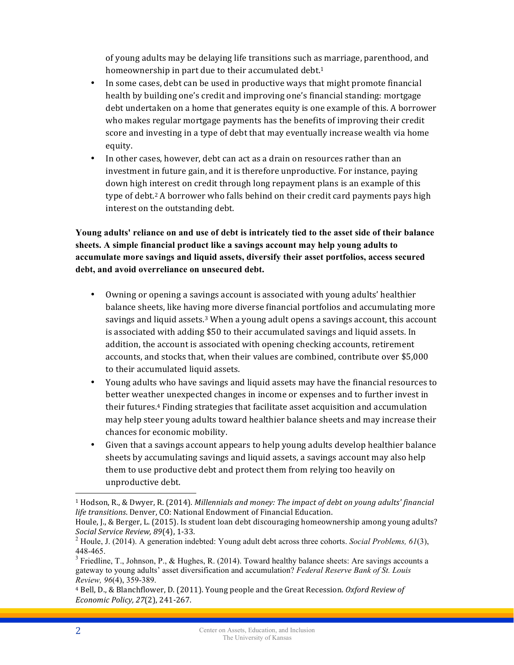of young adults may be delaying life transitions such as marriage, parenthood, and homeownership in part due to their accumulated debt.<sup>1</sup>

- In some cases, debt can be used in productive ways that might promote financial health by building one's credit and improving one's financial standing: mortgage debt undertaken on a home that generates equity is one example of this. A borrower who makes regular mortgage payments has the benefits of improving their credit score and investing in a type of debt that may eventually increase wealth via home equity.
- In other cases, however, debt can act as a drain on resources rather than an investment in future gain, and it is therefore unproductive. For instance, paying down high interest on credit through long repayment plans is an example of this type of debt.<sup>2</sup> A borrower who falls behind on their credit card payments pays high interest on the outstanding debt.

**Young adults' reliance on and use of debt is intricately tied to the asset side of their balance sheets. A simple financial product like a savings account may help young adults to accumulate more savings and liquid assets, diversify their asset portfolios, access secured debt, and avoid overreliance on unsecured debt.**

- Owning or opening a savings account is associated with young adults' healthier balance sheets, like having more diverse financial portfolios and accumulating more savings and liquid assets. $3$  When a young adult opens a savings account, this account is associated with adding \$50 to their accumulated savings and liquid assets. In addition, the account is associated with opening checking accounts, retirement accounts, and stocks that, when their values are combined, contribute over \$5,000 to their accumulated liquid assets.
- Young adults who have savings and liquid assets may have the financial resources to better weather unexpected changes in income or expenses and to further invest in their futures.<sup>4</sup> Finding strategies that facilitate asset acquisition and accumulation may help steer young adults toward healthier balance sheets and may increase their chances for economic mobility.
- Given that a savings account appears to help young adults develop healthier balance sheets by accumulating savings and liquid assets, a savings account may also help them to use productive debt and protect them from relying too heavily on unproductive debt.

 $\overline{a}$ 

 $1$  Hodson, R., & Dwyer, R. (2014). *Millennials and money: The impact of debt on young adults' financial* life transitions. Denver, CO: National Endowment of Financial Education.

Houle, J., & Berger, L. (2015). Is student loan debt discouraging homeownership among young adults?

*Social Service Review, 89*(4), 1-33. *2 Auguedia: Young adult debt across three cohorts. <i>Social Problems, 61*(3), *2* Houle, J. (2014). A generation indebted: *Young adult debt across three cohorts. <i>Social Problems, 6* 448-465.<br> $3$  Friedline, T., Johnson, P., & Hughes, R. (2014). Toward healthy balance sheets: Are savings accounts a

gateway to young adults' asset diversification and accumulation? *Federal Reserve Bank of St. Louis Review, 96*(4), 359-389.

<sup>&</sup>lt;sup>4</sup> Bell, D., & Blanchflower, D. (2011). Young people and the Great Recession. *Oxford Review of Economic Policy, 27*(2), 241-267.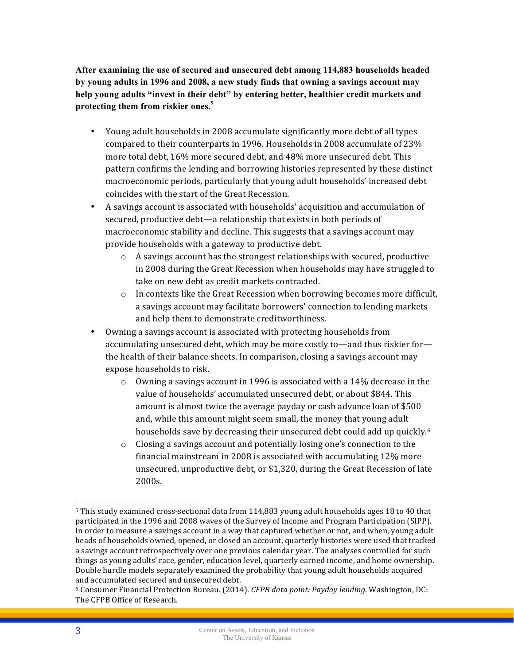**After examining the use of secured and unsecured debt among 114,883 households headed by young adults in 1996 and 2008, a new study finds that owning a savings account may help young adults "invest in their debt" by entering better, healthier credit markets and protecting them from riskier ones. 5**

- Young adult households in 2008 accumulate significantly more debt of all types compared to their counterparts in 1996. Households in 2008 accumulate of 23% more total debt, 16% more secured debt, and 48% more unsecured debt. This pattern confirms the lending and borrowing histories represented by these distinct macroeconomic periods, particularly that young adult households' increased debt coincides with the start of the Great Recession.
- A savings account is associated with households' acquisition and accumulation of secured, productive debt—a relationship that exists in both periods of macroeconomic stability and decline. This suggests that a savings account may provide households with a gateway to productive debt.
	- $\circ$  A savings account has the strongest relationships with secured, productive in 2008 during the Great Recession when households may have struggled to take on new debt as credit markets contracted.
	- $\circ$  In contexts like the Great Recession when borrowing becomes more difficult, a savings account may facilitate borrowers' connection to lending markets and help them to demonstrate creditworthiness.
- Owning a savings account is associated with protecting households from accumulating unsecured debt, which may be more costly to—and thus riskier for the health of their balance sheets. In comparison, closing a savings account may expose households to risk.
	- $\circ$  Owning a savings account in 1996 is associated with a 14% decrease in the value of households' accumulated unsecured debt, or about \$844. This amount is almost twice the average payday or cash advance loan of \$500 and, while this amount might seem small, the money that young adult households save by decreasing their unsecured debt could add up quickly.<sup>6</sup>
	- $\circ$  Closing a savings account and potentially losing one's connection to the financial mainstream in 2008 is associated with accumulating 12% more unsecured, unproductive debt, or \$1,320, during the Great Recession of late 2000s.

 $\overline{a}$ 

 $5$  This study examined cross-sectional data from 114,883 young adult households ages 18 to 40 that participated in the 1996 and 2008 waves of the Survey of Income and Program Participation (SIPP). In order to measure a savings account in a way that captured whether or not, and when, young adult heads of households owned, opened, or closed an account, quarterly histories were used that tracked a savings account retrospectively over one previous calendar year. The analyses controlled for such things as young adults' race, gender, education level, quarterly earned income, and home ownership. Double hurdle models separately examined the probability that young adult households acquired and accumulated secured and unsecured debt.

<sup>6</sup> Consumer Financial Protection Bureau. (2014). *CFPB data point: Payday lending*. Washington, DC: The CFPB Office of Research.